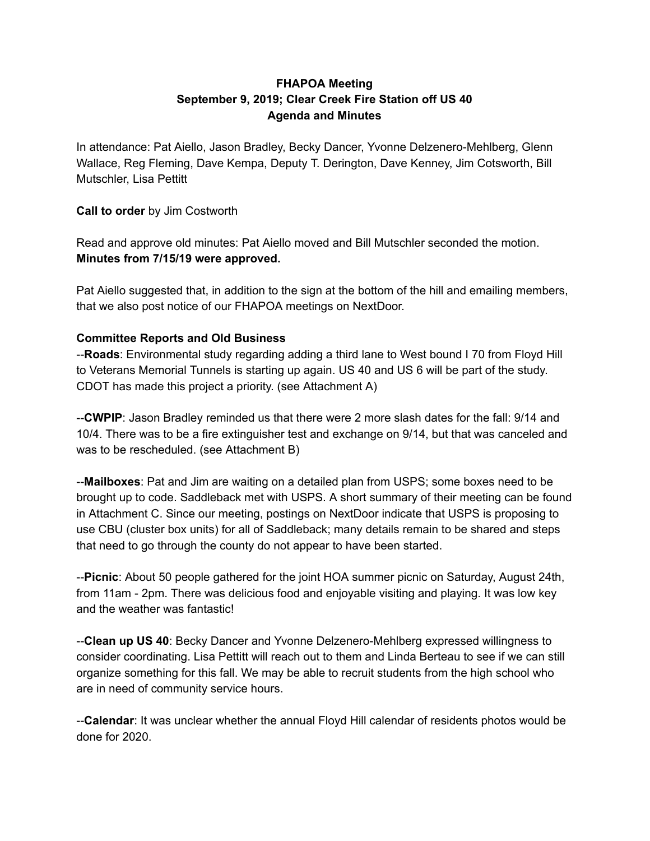# **FHAPOA Meeting September 9, 2019; Clear Creek Fire Station off US 40 Agenda and Minutes**

In attendance: Pat Aiello, Jason Bradley, Becky Dancer, Yvonne Delzenero-Mehlberg, Glenn Wallace, Reg Fleming, Dave Kempa, Deputy T. Derington, Dave Kenney, Jim Cotsworth, Bill Mutschler, Lisa Pettitt

## **Call to order** by Jim Costworth

Read and approve old minutes: Pat Aiello moved and Bill Mutschler seconded the motion. **Minutes from 7/15/19 were approved.**

Pat Aiello suggested that, in addition to the sign at the bottom of the hill and emailing members, that we also post notice of our FHAPOA meetings on NextDoor.

## **Committee Reports and Old Business**

--**Roads**: Environmental study regarding adding a third lane to West bound I 70 from Floyd Hill to Veterans Memorial Tunnels is starting up again. US 40 and US 6 will be part of the study. CDOT has made this project a priority. (see Attachment A)

--**CWPIP**: Jason Bradley reminded us that there were 2 more slash dates for the fall: 9/14 and 10/4. There was to be a fire extinguisher test and exchange on 9/14, but that was canceled and was to be rescheduled. (see Attachment B)

--**Mailboxes**: Pat and Jim are waiting on a detailed plan from USPS; some boxes need to be brought up to code. Saddleback met with USPS. A short summary of their meeting can be found in Attachment C. Since our meeting, postings on NextDoor indicate that USPS is proposing to use CBU (cluster box units) for all of Saddleback; many details remain to be shared and steps that need to go through the county do not appear to have been started.

--**Picnic**: About 50 people gathered for the joint HOA summer picnic on Saturday, August 24th, from 11am - 2pm. There was delicious food and enjoyable visiting and playing. It was low key and the weather was fantastic!

--**Clean up US 40**: Becky Dancer and Yvonne Delzenero-Mehlberg expressed willingness to consider coordinating. Lisa Pettitt will reach out to them and Linda Berteau to see if we can still organize something for this fall. We may be able to recruit students from the high school who are in need of community service hours.

--**Calendar**: It was unclear whether the annual Floyd Hill calendar of residents photos would be done for 2020.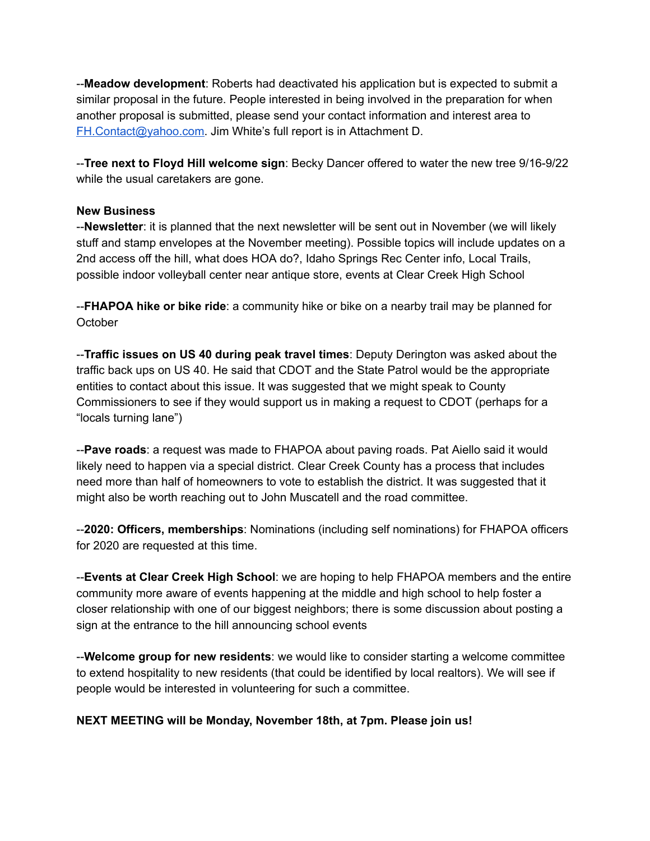--**Meadow development**: Roberts had deactivated his application but is expected to submit a similar proposal in the future. People interested in being involved in the preparation for when another proposal is submitted, please send your contact information and interest area to [FH.Contact@yahoo.com.](mailto:FH.Contact@yahoo.com) Jim White's full report is in Attachment D.

--**Tree next to Floyd Hill welcome sign**: Becky Dancer offered to water the new tree 9/16-9/22 while the usual caretakers are gone.

#### **New Business**

--**Newsletter**: it is planned that the next newsletter will be sent out in November (we will likely stuff and stamp envelopes at the November meeting). Possible topics will include updates on a 2nd access off the hill, what does HOA do?, Idaho Springs Rec Center info, Local Trails, possible indoor volleyball center near antique store, events at Clear Creek High School

--**FHAPOA hike or bike ride**: a community hike or bike on a nearby trail may be planned for **October** 

--**Traffic issues on US 40 during peak travel times**: Deputy Derington was asked about the traffic back ups on US 40. He said that CDOT and the State Patrol would be the appropriate entities to contact about this issue. It was suggested that we might speak to County Commissioners to see if they would support us in making a request to CDOT (perhaps for a "locals turning lane")

--**Pave roads**: a request was made to FHAPOA about paving roads. Pat Aiello said it would likely need to happen via a special district. Clear Creek County has a process that includes need more than half of homeowners to vote to establish the district. It was suggested that it might also be worth reaching out to John Muscatell and the road committee.

--**2020: Officers, memberships**: Nominations (including self nominations) for FHAPOA officers for 2020 are requested at this time.

--**Events at Clear Creek High School**: we are hoping to help FHAPOA members and the entire community more aware of events happening at the middle and high school to help foster a closer relationship with one of our biggest neighbors; there is some discussion about posting a sign at the entrance to the hill announcing school events

--**Welcome group for new residents**: we would like to consider starting a welcome committee to extend hospitality to new residents (that could be identified by local realtors). We will see if people would be interested in volunteering for such a committee.

## **NEXT MEETING will be Monday, November 18th, at 7pm. Please join us!**